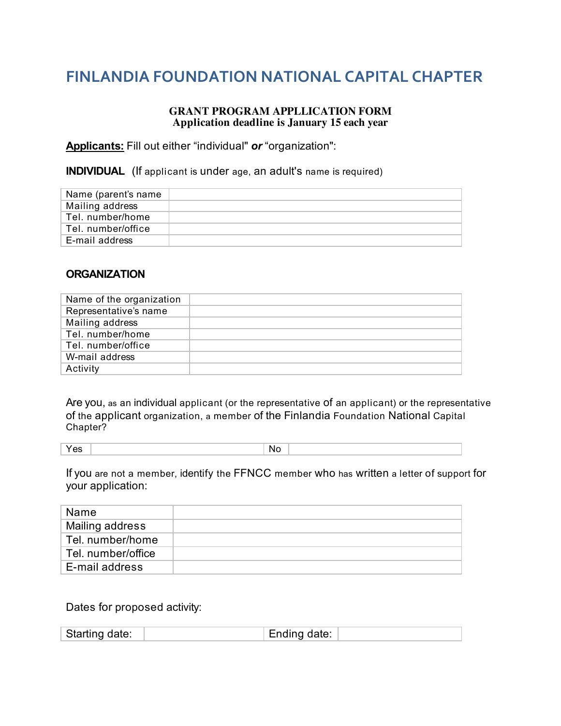## **FINLANDIA'FOUNDATION'NATIONAL'CAPITAL'CHAPTER**

## **GRANT PROGRAM APPLLICATION FORM Application deadline is January 15 each year**

**Applicants:** Fill out either "individual" *or* "organization":

**INDIVIDUAL** (If applicant is under age, an adult's name is required)

| Name (parent's name |  |
|---------------------|--|
| Mailing address     |  |
| Tel. number/home    |  |
| Tel. number/office  |  |
| E-mail address      |  |

## **ORGANIZATION**

| Name of the organization |  |
|--------------------------|--|
| Representative's name    |  |
| Mailing address          |  |
| Tel. number/home         |  |
| Tel. number/office       |  |
| W-mail address           |  |
| Activity                 |  |

Are you, as an individual applicant (or the representative of an applicant) or the representative of the applicant organization, a member of the Finlandia Foundation National Capital Chapter?

|  |  |  | ıм<br>____ |  |
|--|--|--|------------|--|
|--|--|--|------------|--|

If you are not a member, identify the FFNCC member who has written a letter of support for your application:

| Name               |  |
|--------------------|--|
| Mailing address    |  |
| Tel. number/home   |  |
| Tel. number/office |  |
| E-mail address     |  |

Dates for proposed activity: